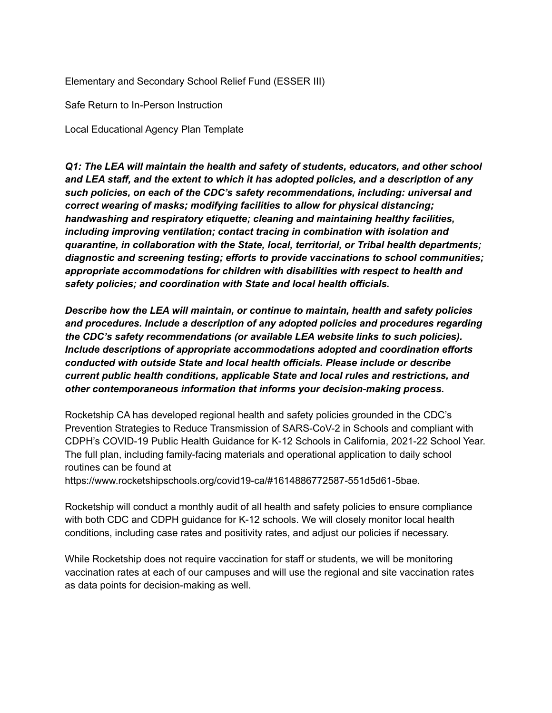Elementary and Secondary School Relief Fund (ESSER III)

Safe Return to In-Person Instruction

Local Educational Agency Plan Template

*Q1: The LEA will maintain the health and safety of students, educators, and other school and LEA staff, and the extent to which it has adopted policies, and a description of any such policies, on each of the CDC's safety recommendations, including: universal and correct wearing of masks; modifying facilities to allow for physical distancing; handwashing and respiratory etiquette; cleaning and maintaining healthy facilities, including improving ventilation; contact tracing in combination with isolation and quarantine, in collaboration with the State, local, territorial, or Tribal health departments; diagnostic and screening testing; efforts to provide vaccinations to school communities; appropriate accommodations for children with disabilities with respect to health and safety policies; and coordination with State and local health officials.*

*Describe how the LEA will maintain, or continue to maintain, health and safety policies and procedures. Include a description of any adopted policies and procedures regarding the CDC's safety recommendations (or available LEA website links to such policies). Include descriptions of appropriate accommodations adopted and coordination efforts conducted with outside State and local health officials. Please include or describe current public health conditions, applicable State and local rules and restrictions, and other contemporaneous information that informs your decision-making process.*

Rocketship CA has developed regional health and safety policies grounded in the CDC's Prevention Strategies to Reduce Transmission of SARS-CoV-2 in Schools and compliant with CDPH's COVID-19 Public Health Guidance for K-12 Schools in California, 2021-22 School Year. The full plan, including family-facing materials and operational application to daily school routines can be found at

https://www.rocketshipschools.org/covid19-ca/#1614886772587-551d5d61-5bae.

Rocketship will conduct a monthly audit of all health and safety policies to ensure compliance with both CDC and CDPH guidance for K-12 schools. We will closely monitor local health conditions, including case rates and positivity rates, and adjust our policies if necessary.

While Rocketship does not require vaccination for staff or students, we will be monitoring vaccination rates at each of our campuses and will use the regional and site vaccination rates as data points for decision-making as well.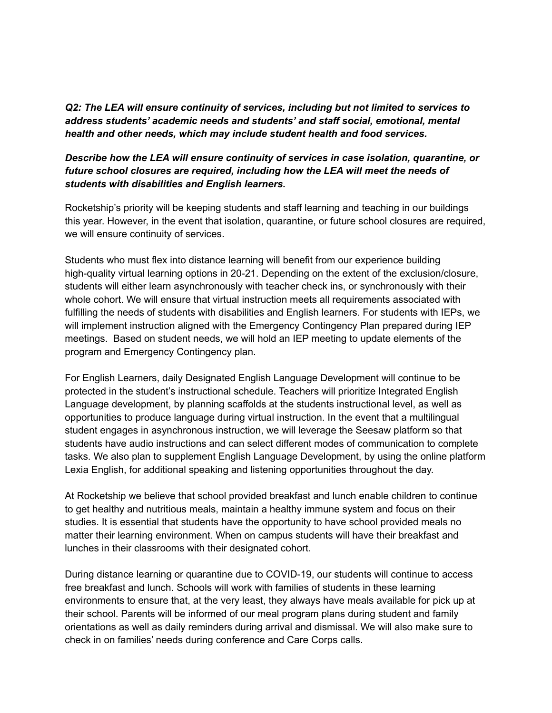*Q2: The LEA will ensure continuity of services, including but not limited to services to address students' academic needs and students' and staff social, emotional, mental health and other needs, which may include student health and food services.*

## *Describe how the LEA will ensure continuity of services in case isolation, quarantine, or future school closures are required, including how the LEA will meet the needs of students with disabilities and English learners.*

Rocketship's priority will be keeping students and staff learning and teaching in our buildings this year. However, in the event that isolation, quarantine, or future school closures are required, we will ensure continuity of services.

Students who must flex into distance learning will benefit from our experience building high-quality virtual learning options in 20-21. Depending on the extent of the exclusion/closure, students will either learn asynchronously with teacher check ins, or synchronously with their whole cohort. We will ensure that virtual instruction meets all requirements associated with fulfilling the needs of students with disabilities and English learners. For students with IEPs, we will implement instruction aligned with the Emergency Contingency Plan prepared during IEP meetings. Based on student needs, we will hold an IEP meeting to update elements of the program and Emergency Contingency plan.

For English Learners, daily Designated English Language Development will continue to be protected in the student's instructional schedule. Teachers will prioritize Integrated English Language development, by planning scaffolds at the students instructional level, as well as opportunities to produce language during virtual instruction. In the event that a multilingual student engages in asynchronous instruction, we will leverage the Seesaw platform so that students have audio instructions and can select different modes of communication to complete tasks. We also plan to supplement English Language Development, by using the online platform Lexia English, for additional speaking and listening opportunities throughout the day.

At Rocketship we believe that school provided breakfast and lunch enable children to continue to get healthy and nutritious meals, maintain a healthy immune system and focus on their studies. It is essential that students have the opportunity to have school provided meals no matter their learning environment. When on campus students will have their breakfast and lunches in their classrooms with their designated cohort.

During distance learning or quarantine due to COVID-19, our students will continue to access free breakfast and lunch. Schools will work with families of students in these learning environments to ensure that, at the very least, they always have meals available for pick up at their school. Parents will be informed of our meal program plans during student and family orientations as well as daily reminders during arrival and dismissal. We will also make sure to check in on families' needs during conference and Care Corps calls.